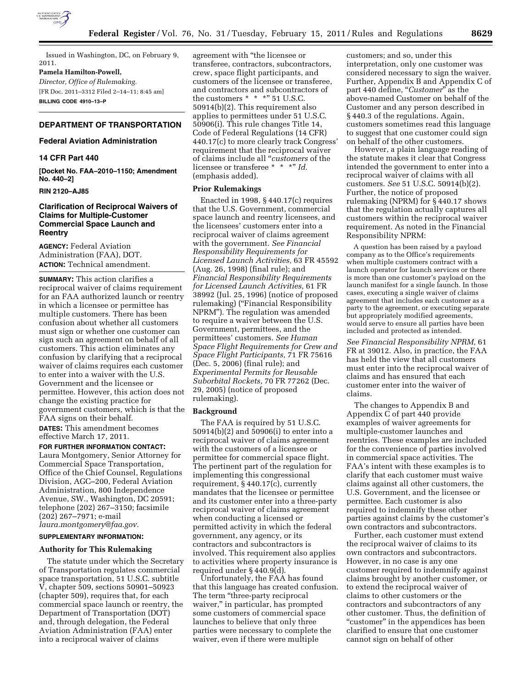

Issued in Washington, DC, on February 9, 2011.

**Pamela Hamilton-Powell,** 

*Director, Office of Rulemaking.*  [FR Doc. 2011–3312 Filed 2–14–11; 8:45 am] **BILLING CODE 4910–13–P** 

# **DEPARTMENT OF TRANSPORTATION**

## **Federal Aviation Administration**

# **14 CFR Part 440**

**[Docket No. FAA–2010–1150; Amendment No. 440–2]** 

# **RIN 2120–AJ85**

# **Clarification of Reciprocal Waivers of Claims for Multiple-Customer Commercial Space Launch and Reentry**

**AGENCY:** Federal Aviation Administration (FAA), DOT. **ACTION:** Technical amendment.

**SUMMARY:** This action clarifies a reciprocal waiver of claims requirement for an FAA authorized launch or reentry in which a licensee or permittee has multiple customers. There has been confusion about whether all customers must sign or whether one customer can sign such an agreement on behalf of all customers. This action eliminates any confusion by clarifying that a reciprocal waiver of claims requires each customer to enter into a waiver with the U.S. Government and the licensee or permittee. However, this action does not change the existing practice for government customers, which is that the FAA signs on their behalf. **DATES:** This amendment becomes effective March 17, 2011.

**FOR FURTHER INFORMATION CONTACT:** 

Laura Montgomery, Senior Attorney for Commercial Space Transportation, Office of the Chief Counsel, Regulations Division, AGC–200, Federal Aviation Administration, 800 Independence Avenue, SW., Washington, DC 20591; telephone (202) 267–3150; facsimile (202) 267–7971; e-mail *[laura.montgomery@faa.gov.](mailto:laura.montgomery@faa.gov)* 

# **SUPPLEMENTARY INFORMATION:**

## **Authority for This Rulemaking**

The statute under which the Secretary of Transportation regulates commercial space transportation, 51 U.S.C. subtitle V, chapter 509, sections 50901–50923 (chapter 509), requires that, for each commercial space launch or reentry, the Department of Transportation (DOT) and, through delegation, the Federal Aviation Administration (FAA) enter into a reciprocal waiver of claims

agreement with ''the licensee or transferee, contractors, subcontractors, crew, space flight participants, and customers of the licensee or transferee, and contractors and subcontractors of the customers  $* * * " 51 U.S.C.$ 50914(b)(2). This requirement also applies to permittees under 51 U.S.C. 50906(i). This rule changes Title 14, Code of Federal Regulations (14 CFR) 440.17(c) to more clearly track Congress' requirement that the reciprocal waiver of claims include all ''*customers* of the licensee or transferee \* \* \*'' *Id.*  (emphasis added).

## **Prior Rulemakings**

Enacted in 1998, § 440.17(c) requires that the U.S. Government, commercial space launch and reentry licensees, and the licensees' customers enter into a reciprocal waiver of claims agreement with the government. *See Financial Responsibility Requirements for Licensed Launch Activities,* 63 FR 45592 (Aug. 26, 1998) (final rule); and *Financial Responsibility Requirements for Licensed Launch Activities,* 61 FR 38992 (Jul. 25, 1996) (notice of proposed rulemaking) (''Financial Responsibility NPRM''). The regulation was amended to require a waiver between the U.S. Government, permittees, and the permittees' customers. *See Human Space Flight Requirements for Crew and Space Flight Participants,* 71 FR 75616 (Dec. 5, 2006) (final rule); and *Experimental Permits for Reusable Suborbital Rockets,* 70 FR 77262 (Dec. 29, 2005) (notice of proposed rulemaking).

## **Background**

The FAA is required by 51 U.S.C. 50914(b)(2) and 50906(i) to enter into a reciprocal waiver of claims agreement with the customers of a licensee or permittee for commercial space flight. The pertinent part of the regulation for implementing this congressional requirement, § 440.17(c), currently mandates that the licensee or permittee and its customer enter into a three-party reciprocal waiver of claims agreement when conducting a licensed or permitted activity in which the federal government, any agency, or its contractors and subcontractors is involved. This requirement also applies to activities where property insurance is required under § 440.9(d).

Unfortunately, the FAA has found that this language has created confusion. The term "three-party reciprocal waiver," in particular, has prompted some customers of commercial space launches to believe that only three parties were necessary to complete the waiver, even if there were multiple

customers; and so, under this interpretation, only one customer was considered necessary to sign the waiver. Further, Appendix B and Appendix C of part 440 define, "*Customer*" as the above-named Customer on behalf of the Customer and any person described in § 440.3 of the regulations. Again, customers sometimes read this language to suggest that one customer could sign on behalf of the other customers.

However, a plain language reading of the statute makes it clear that Congress intended the government to enter into a reciprocal waiver of claims with all customers. *See* 51 U.S.C. 50914(b)(2). Further, the notice of proposed rulemaking (NPRM) for § 440.17 shows that the regulation actually captures all customers within the reciprocal waiver requirement. As noted in the Financial Responsibility NPRM:

A question has been raised by a payload company as to the Office's requirements when multiple customers contract with a launch operator for launch services or there is more than one customer's payload on the launch manifest for a single launch. In those cases, executing a single waiver of claims agreement that includes each customer as a party to the agreement, or executing separate but appropriately modified agreements, would serve to ensure all parties have been included and protected as intended.

*See Financial Responsibility NPRM,* 61 FR at 39012. Also, in practice, the FAA has held the view that all customers must enter into the reciprocal waiver of claims and has ensured that each customer enter into the waiver of claims.

The changes to Appendix B and Appendix C of part 440 provide examples of waiver agreements for multiple-customer launches and reentries. These examples are included for the convenience of parties involved in commercial space activities. The FAA's intent with these examples is to clarify that each customer must waive claims against all other customers, the U.S. Government, and the licensee or permittee. Each customer is also required to indemnify these other parties against claims by the customer's own contractors and subcontractors.

Further, each customer must extend the reciprocal waiver of claims to its own contractors and subcontractors. However, in no case is any one customer required to indemnify against claims brought by another customer, or to extend the reciprocal waiver of claims to other customers or the contractors and subcontractors of any other customer. Thus, the definition of "customer" in the appendices has been clarified to ensure that one customer cannot sign on behalf of other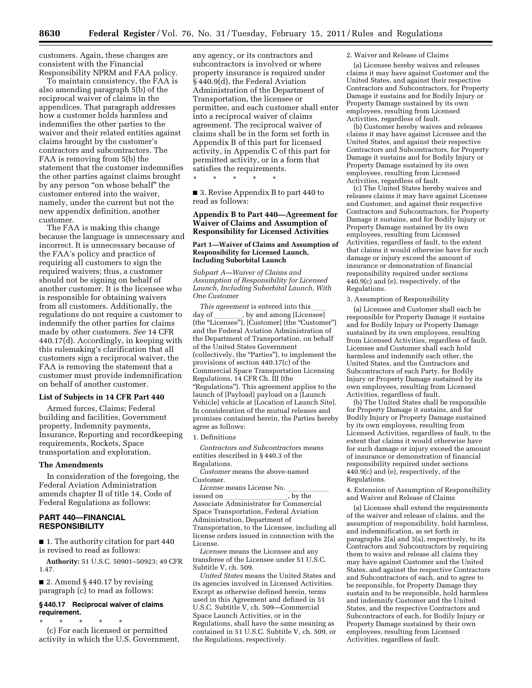customers. Again, these changes are consistent with the Financial Responsibility NPRM and FAA policy.

To maintain consistency, the FAA is also amending paragraph 5(b) of the reciprocal waiver of claims in the appendices. That paragraph addresses how a customer holds harmless and indemnifies the other parties to the waiver and their related entities against claims brought by the customer's contractors and subcontractors. The FAA is removing from 5(b) the statement that the customer indemnifies the other parties against claims brought by any person "on whose behalf" the customer entered into the waiver, namely, under the current but not the new appendix definition, another customer.

The FAA is making this change because the language is unnecessary and incorrect. It is unnecessary because of the FAA's policy and practice of requiring all customers to sign the required waivers; thus, a customer should not be signing on behalf of another customer. It is the licensee who is responsible for obtaining waivers from all customers. Additionally, the regulations do not require a customer to indemnify the other parties for claims made by other customers. *See* 14 CFR 440.17(d). Accordingly, in keeping with this rulemaking's clarification that all customers sign a reciprocal waiver, the FAA is removing the statement that a customer must provide indemnification on behalf of another customer.

# **List of Subjects in 14 CFR Part 440**

Armed forces, Claims; Federal building and facilities, Government property, Indemnity payments, Insurance, Reporting and recordkeeping requirements, Rockets, Space transportation and exploration.

#### **The Amendments**

In consideration of the foregoing, the Federal Aviation Administration amends chapter II of title 14, Code of Federal Regulations as follows:

# **PART 440—FINANCIAL RESPONSIBILITY**

■ 1. The authority citation for part 440 is revised to read as follows:

**Authority:** 51 U.S.C. 50901–50923; 49 CFR 1.47.

■ 2. Amend § 440.17 by revising paragraph (c) to read as follows:

## **§ 440.17 Reciprocal waiver of claims requirement.**

\* \* \* \* \* (c) For each licensed or permitted activity in which the U.S. Government,

any agency, or its contractors and subcontractors is involved or where property insurance is required under § 440.9(d), the Federal Aviation Administration of the Department of Transportation, the licensee or permittee, and each customer shall enter into a reciprocal waiver of claims agreement. The reciprocal waiver of claims shall be in the form set forth in Appendix B of this part for licensed activity, in Appendix C of this part for permitted activity, or in a form that satisfies the requirements.

\* \* \* \* \*

■ 3. Revise Appendix B to part 440 to read as follows:

# **Appendix B to Part 440—Agreement for Waiver of Claims and Assumption of Responsibility for Licensed Activities**

### **Part 1—Waiver of Claims and Assumption of Responsibility for Licensed Launch, Including Suborbital Launch**

*Subpart A—Waiver of Claims and Assumption of Responsibility for Licensed Launch, Including Suborbital Launch, With One Customer* 

*This agreement* is entered into this day of \_\_\_\_\_\_\_, by and among [Licensee] day of \_\_\_\_\_\_\_\_, by and among [Licensee]<br>(the "Licensee"), [Customer] (the "Customer") and the Federal Aviation Administration of the Department of Transportation, on behalf of the United States Government (collectively, the ''Parties''), to implement the provisions of section 440.17(c) of the Commercial Space Transportation Licensing Regulations, 14 CFR Ch. III (the "Regulations"). This agreement applies to the launch of [Payload] payload on a [Launch Vehicle] vehicle at [Location of Launch Site]. In consideration of the mutual releases and promises contained herein, the Parties hereby agree as follows:

#### 1. Definitions

*Contractors and Subcontractors* means entities described in § 440.3 of the Regulations.

*Customer* means the above-named Customer.

*License* means License No. llllll issued on \_\_\_\_\_\_\_\_\_\_\_\_\_\_\_\_, by the<br>Associate Administrator for Commercial Space Transportation, Federal Aviation Administration, Department of Transportation, to the Licensee, including all license orders issued in connection with the License.

*Licensee* means the Licensee and any transferee of the Licensee under 51 U.S.C. Subtitle V, ch. 509.

*United States* means the United States and its agencies involved in Licensed Activities. Except as otherwise defined herein, terms used in this Agreement and defined in 51 U.S.C. Subtitle V, ch. 509—Commercial Space Launch Activities, or in the Regulations, shall have the same meaning as contained in 51 U.S.C. Subtitle V, ch. 509, or the Regulations, respectively.

#### 2. Waiver and Release of Claims

(a) Licensee hereby waives and releases claims it may have against Customer and the United States, and against their respective Contractors and Subcontractors, for Property Damage it sustains and for Bodily Injury or Property Damage sustained by its own employees, resulting from Licensed Activities, regardless of fault.

(b) Customer hereby waives and releases claims it may have against Licensee and the United States, and against their respective Contractors and Subcontractors, for Property Damage it sustains and for Bodily Injury or Property Damage sustained by its own employees, resulting from Licensed Activities, regardless of fault.

(c) The United States hereby waives and releases claims it may have against Licensee and Customer, and against their respective Contractors and Subcontractors, for Property Damage it sustains, and for Bodily Injury or Property Damage sustained by its own employees, resulting from Licensed Activities, regardless of fault, to the extent that claims it would otherwise have for such damage or injury exceed the amount of insurance or demonstration of financial responsibility required under sections 440.9(c) and (e), respectively, of the Regulations.

### 3. Assumption of Responsibility

(a) Licensee and Customer shall each be responsible for Property Damage it sustains and for Bodily Injury or Property Damage sustained by its own employees, resulting from Licensed Activities, regardless of fault. Licensee and Customer shall each hold harmless and indemnify each other, the United States, and the Contractors and Subcontractors of each Party, for Bodily Injury or Property Damage sustained by its own employees, resulting from Licensed Activities, regardless of fault.

(b) The United States shall be responsible for Property Damage it sustains, and for Bodily Injury or Property Damage sustained by its own employees, resulting from Licensed Activities, regardless of fault, to the extent that claims it would otherwise have for such damage or injury exceed the amount of insurance or demonstration of financial responsibility required under sections 440.9(c) and (e), respectively, of the Regulations.

4. Extension of Assumption of Responsibility and Waiver and Release of Claims

(a) Licensee shall extend the requirements of the waiver and release of claims, and the assumption of responsibility, hold harmless, and indemnification, as set forth in paragraphs 2(a) and 3(a), respectively, to its Contractors and Subcontractors by requiring them to waive and release all claims they may have against Customer and the United States, and against the respective Contractors and Subcontractors of each, and to agree to be responsible, for Property Damage they sustain and to be responsible, hold harmless and indemnify Customer and the United States, and the respective Contractors and Subcontractors of each, for Bodily Injury or Property Damage sustained by their own employees, resulting from Licensed Activities, regardless of fault.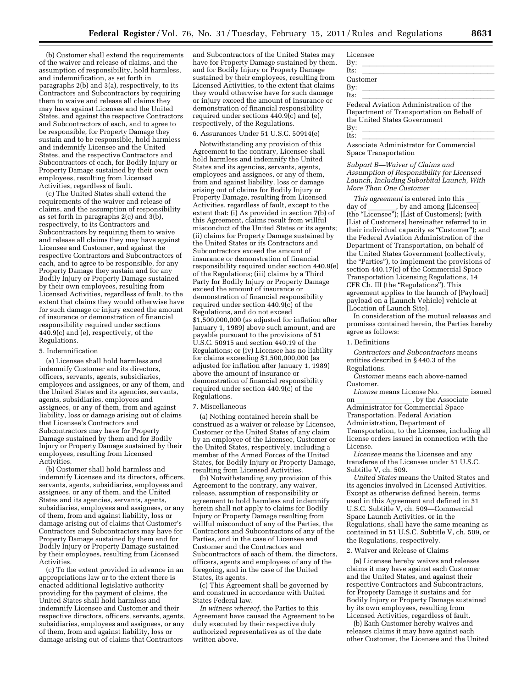(b) Customer shall extend the requirements of the waiver and release of claims, and the assumption of responsibility, hold harmless, and indemnification, as set forth in paragraphs 2(b) and 3(a), respectively, to its Contractors and Subcontractors by requiring them to waive and release all claims they may have against Licensee and the United States, and against the respective Contractors and Subcontractors of each, and to agree to be responsible, for Property Damage they sustain and to be responsible, hold harmless and indemnify Licensee and the United States, and the respective Contractors and Subcontractors of each, for Bodily Injury or Property Damage sustained by their own employees, resulting from Licensed Activities, regardless of fault.

(c) The United States shall extend the requirements of the waiver and release of claims, and the assumption of responsibility as set forth in paragraphs 2(c) and 3(b), respectively, to its Contractors and Subcontractors by requiring them to waive and release all claims they may have against Licensee and Customer, and against the respective Contractors and Subcontractors of each, and to agree to be responsible, for any Property Damage they sustain and for any Bodily Injury or Property Damage sustained by their own employees, resulting from Licensed Activities, regardless of fault, to the extent that claims they would otherwise have for such damage or injury exceed the amount of insurance or demonstration of financial responsibility required under sections 440.9(c) and (e), respectively, of the Regulations.

#### 5. Indemnification

(a) Licensee shall hold harmless and indemnify Customer and its directors, officers, servants, agents, subsidiaries, employees and assignees, or any of them, and the United States and its agencies, servants, agents, subsidiaries, employees and assignees, or any of them, from and against liability, loss or damage arising out of claims that Licensee's Contractors and Subcontractors may have for Property Damage sustained by them and for Bodily Injury or Property Damage sustained by their employees, resulting from Licensed Activities.

(b) Customer shall hold harmless and indemnify Licensee and its directors, officers, servants, agents, subsidiaries, employees and assignees, or any of them, and the United States and its agencies, servants, agents, subsidiaries, employees and assignees, or any of them, from and against liability, loss or damage arising out of claims that Customer's Contractors and Subcontractors may have for Property Damage sustained by them and for Bodily Injury or Property Damage sustained by their employees, resulting from Licensed Activities.

(c) To the extent provided in advance in an appropriations law or to the extent there is enacted additional legislative authority providing for the payment of claims, the United States shall hold harmless and indemnify Licensee and Customer and their respective directors, officers, servants, agents, subsidiaries, employees and assignees, or any of them, from and against liability, loss or damage arising out of claims that Contractors

and Subcontractors of the United States may have for Property Damage sustained by them, and for Bodily Injury or Property Damage sustained by their employees, resulting from Licensed Activities, to the extent that claims they would otherwise have for such damage or injury exceed the amount of insurance or demonstration of financial responsibility required under sections 440.9(c) and (e), respectively, of the Regulations.

### 6. Assurances Under 51 U.S.C. 50914(e)

Notwithstanding any provision of this Agreement to the contrary, Licensee shall hold harmless and indemnify the United States and its agencies, servants, agents, employees and assignees, or any of them, from and against liability, loss or damage arising out of claims for Bodily Injury or Property Damage, resulting from Licensed Activities, regardless of fault, except to the extent that: (i) As provided in section 7(b) of this Agreement, claims result from willful misconduct of the United States or its agents; (ii) claims for Property Damage sustained by the United States or its Contractors and Subcontractors exceed the amount of insurance or demonstration of financial responsibility required under section 440.9(e) of the Regulations; (iii) claims by a Third Party for Bodily Injury or Property Damage exceed the amount of insurance or demonstration of financial responsibility required under section 440.9(c) of the Regulations, and do not exceed \$1,500,000,000 (as adjusted for inflation after January 1, 1989) above such amount, and are payable pursuant to the provisions of 51 U.S.C. 50915 and section 440.19 of the Regulations; or (iv) Licensee has no liability for claims exceeding \$1,500,000,000 (as adjusted for inflation after January 1, 1989) above the amount of insurance or demonstration of financial responsibility required under section  $440.9(c)$  of the Regulations.

#### 7. Miscellaneous

(a) Nothing contained herein shall be construed as a waiver or release by Licensee, Customer or the United States of any claim by an employee of the Licensee, Customer or the United States, respectively, including a member of the Armed Forces of the United States, for Bodily Injury or Property Damage, resulting from Licensed Activities.

(b) Notwithstanding any provision of this Agreement to the contrary, any waiver, release, assumption of responsibility or agreement to hold harmless and indemnify herein shall not apply to claims for Bodily Injury or Property Damage resulting from willful misconduct of any of the Parties, the Contractors and Subcontractors of any of the Parties, and in the case of Licensee and Customer and the Contractors and Subcontractors of each of them, the directors, officers, agents and employees of any of the foregoing, and in the case of the United States, its agents.

(c) This Agreement shall be governed by and construed in accordance with United States Federal law.

*In witness whereof,* the Parties to this Agreement have caused the Agreement to be duly executed by their respective duly authorized representatives as of the date written above.

| Licensee                                  |
|-------------------------------------------|
| $\mathbf{By:}$                            |
| Its: $\qquad \qquad$                      |
| Customer                                  |
| By: $\qquad \qquad$                       |
| It's:                                     |
| Federal Aviation Administration of the    |
| Department of Transportation on Behalf of |
| the United States Government              |
| By: $\frac{\text{By:}}{\text{Its:}}$      |
|                                           |

Its:<br>Associate Administrator for Commercial Space Transportation

*Subpart B—Waiver of Claims and Assumption of Responsibility for Licensed Launch, Including Suborbital Launch, With More Than One Customer* 

*This agreement* is entered into this day of , by and among [Licensee] day of \_\_\_\_\_\_\_\_, by and among [Licensee]<br>(the "Licensee"); [List of Customers]; (with [List of Customers] hereinafter referred to in their individual capacity as "Customer"); and the Federal Aviation Administration of the Department of Transportation, on behalf of the United States Government (collectively, the "Parties"), to implement the provisions of section 440.17(c) of the Commercial Space Transportation Licensing Regulations, 14 CFR Ch. III (the ''Regulations''). This agreement applies to the launch of [Payload] payload on a [Launch Vehicle] vehicle at [Location of Launch Site].

In consideration of the mutual releases and promises contained herein, the Parties hereby agree as follows:

# 1. Definitions

*Contractors and Subcontractors* means entities described in § 440.3 of the Regulations.

*Customer* means each above-named Customer.

*License* means License No. \_\_\_\_\_\_ issued on  $\hfill$  , by the Associate on \_\_\_\_\_\_\_\_\_\_\_\_\_, by the Associate<br>Administrator for Commercial Space Transportation, Federal Aviation Administration, Department of Transportation, to the Licensee, including all license orders issued in connection with the License.

*Licensee* means the Licensee and any transferee of the Licensee under 51 U.S.C. Subtitle V, ch. 509.

*United States* means the United States and its agencies involved in Licensed Activities. Except as otherwise defined herein, terms used in this Agreement and defined in 51 U.S.C. Subtitle V, ch. 509—Commercial Space Launch Activities, or in the Regulations, shall have the same meaning as contained in 51 U.S.C. Subtitle V, ch. 509, or the Regulations, respectively.

#### 2. Waiver and Release of Claims

(a) Licensee hereby waives and releases claims it may have against each Customer and the United States, and against their respective Contractors and Subcontractors, for Property Damage it sustains and for Bodily Injury or Property Damage sustained by its own employees, resulting from Licensed Activities, regardless of fault.

(b) Each Customer hereby waives and releases claims it may have against each other Customer, the Licensee and the United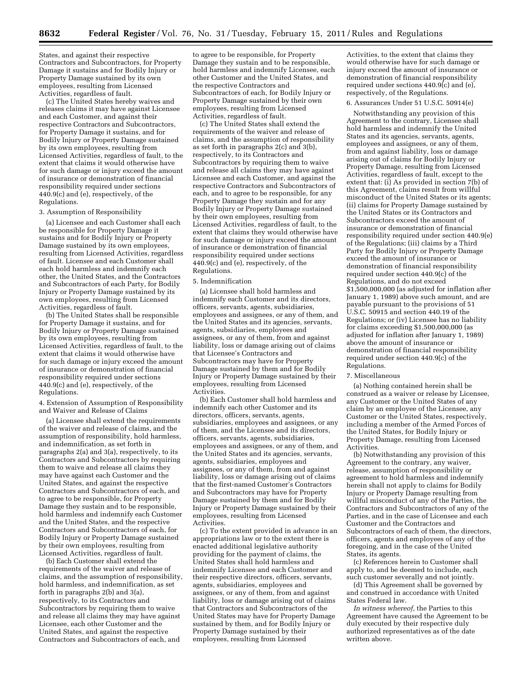States, and against their respective Contractors and Subcontractors, for Property Damage it sustains and for Bodily Injury or Property Damage sustained by its own employees, resulting from Licensed Activities, regardless of fault.

(c) The United States hereby waives and releases claims it may have against Licensee and each Customer, and against their respective Contractors and Subcontractors, for Property Damage it sustains, and for Bodily Injury or Property Damage sustained by its own employees, resulting from Licensed Activities, regardless of fault, to the extent that claims it would otherwise have for such damage or injury exceed the amount of insurance or demonstration of financial responsibility required under sections 440.9(c) and (e), respectively, of the Regulations.

#### 3. Assumption of Responsibility

(a) Licensee and each Customer shall each be responsible for Property Damage it sustains and for Bodily Injury or Property Damage sustained by its own employees, resulting from Licensed Activities, regardless of fault. Licensee and each Customer shall each hold harmless and indemnify each other, the United States, and the Contractors and Subcontractors of each Party, for Bodily Injury or Property Damage sustained by its own employees, resulting from Licensed Activities, regardless of fault.

(b) The United States shall be responsible for Property Damage it sustains, and for Bodily Injury or Property Damage sustained by its own employees, resulting from Licensed Activities, regardless of fault, to the extent that claims it would otherwise have for such damage or injury exceed the amount of insurance or demonstration of financial responsibility required under sections 440.9(c) and (e), respectively, of the Regulations.

4. Extension of Assumption of Responsibility and Waiver and Release of Claims

(a) Licensee shall extend the requirements of the waiver and release of claims, and the assumption of responsibility, hold harmless, and indemnification, as set forth in paragraphs 2(a) and 3(a), respectively, to its Contractors and Subcontractors by requiring them to waive and release all claims they may have against each Customer and the United States, and against the respective Contractors and Subcontractors of each, and to agree to be responsible, for Property Damage they sustain and to be responsible, hold harmless and indemnify each Customer and the United States, and the respective Contractors and Subcontractors of each, for Bodily Injury or Property Damage sustained by their own employees, resulting from Licensed Activities, regardless of fault.

(b) Each Customer shall extend the requirements of the waiver and release of claims, and the assumption of responsibility, hold harmless, and indemnification, as set forth in paragraphs 2(b) and 3(a), respectively, to its Contractors and Subcontractors by requiring them to waive and release all claims they may have against Licensee, each other Customer and the United States, and against the respective Contractors and Subcontractors of each, and

to agree to be responsible, for Property Damage they sustain and to be responsible, hold harmless and indemnify Licensee, each other Customer and the United States, and the respective Contractors and Subcontractors of each, for Bodily Injury or Property Damage sustained by their own employees, resulting from Licensed Activities, regardless of fault.

(c) The United States shall extend the requirements of the waiver and release of claims, and the assumption of responsibility as set forth in paragraphs  $2(c)$  and  $3(b)$ , respectively, to its Contractors and Subcontractors by requiring them to waive and release all claims they may have against Licensee and each Customer, and against the respective Contractors and Subcontractors of each, and to agree to be responsible, for any Property Damage they sustain and for any Bodily Injury or Property Damage sustained by their own employees, resulting from Licensed Activities, regardless of fault, to the extent that claims they would otherwise have for such damage or injury exceed the amount of insurance or demonstration of financial responsibility required under sections 440.9(c) and (e), respectively, of the Regulations.

### 5. Indemnification

(a) Licensee shall hold harmless and indemnify each Customer and its directors, officers, servants, agents, subsidiaries, employees and assignees, or any of them, and the United States and its agencies, servants, agents, subsidiaries, employees and assignees, or any of them, from and against liability, loss or damage arising out of claims that Licensee's Contractors and Subcontractors may have for Property Damage sustained by them and for Bodily Injury or Property Damage sustained by their employees, resulting from Licensed Activities.

(b) Each Customer shall hold harmless and indemnify each other Customer and its directors, officers, servants, agents, subsidiaries, employees and assignees, or any of them, and the Licensee and its directors, officers, servants, agents, subsidiaries, employees and assignees, or any of them, and the United States and its agencies, servants, agents, subsidiaries, employees and assignees, or any of them, from and against liability, loss or damage arising out of claims that the first-named Customer's Contractors and Subcontractors may have for Property Damage sustained by them and for Bodily Injury or Property Damage sustained by their employees, resulting from Licensed Activities.

(c) To the extent provided in advance in an appropriations law or to the extent there is enacted additional legislative authority providing for the payment of claims, the United States shall hold harmless and indemnify Licensee and each Customer and their respective directors, officers, servants, agents, subsidiaries, employees and assignees, or any of them, from and against liability, loss or damage arising out of claims that Contractors and Subcontractors of the United States may have for Property Damage sustained by them, and for Bodily Injury or Property Damage sustained by their employees, resulting from Licensed

Activities, to the extent that claims they would otherwise have for such damage or injury exceed the amount of insurance or demonstration of financial responsibility required under sections  $440.9(c)$  and  $(e)$ , respectively, of the Regulations.

#### 6. Assurances Under 51 U.S.C. 50914(e)

Notwithstanding any provision of this Agreement to the contrary, Licensee shall hold harmless and indemnify the United States and its agencies, servants, agents, employees and assignees, or any of them, from and against liability, loss or damage arising out of claims for Bodily Injury or Property Damage, resulting from Licensed Activities, regardless of fault, except to the extent that: (i) As provided in section 7(b) of this Agreement, claims result from willful misconduct of the United States or its agents; (ii) claims for Property Damage sustained by the United States or its Contractors and Subcontractors exceed the amount of insurance or demonstration of financial responsibility required under section 440.9(e) of the Regulations; (iii) claims by a Third Party for Bodily Injury or Property Damage exceed the amount of insurance or demonstration of financial responsibility required under section 440.9(c) of the Regulations, and do not exceed \$1,500,000,000 (as adjusted for inflation after January 1, 1989) above such amount, and are payable pursuant to the provisions of 51 U.S.C. 50915 and section 440.19 of the Regulations; or (iv) Licensee has no liability for claims exceeding \$1,500,000,000 (as adjusted for inflation after January 1, 1989) above the amount of insurance or demonstration of financial responsibility required under section  $440.9(c)$  of the Regulations.

#### 7. Miscellaneous

(a) Nothing contained herein shall be construed as a waiver or release by Licensee, any Customer or the United States of any claim by an employee of the Licensee, any Customer or the United States, respectively, including a member of the Armed Forces of the United States, for Bodily Injury or Property Damage, resulting from Licensed Activities.

(b) Notwithstanding any provision of this Agreement to the contrary, any waiver, release, assumption of responsibility or agreement to hold harmless and indemnify herein shall not apply to claims for Bodily Injury or Property Damage resulting from willful misconduct of any of the Parties, the Contractors and Subcontractors of any of the Parties, and in the case of Licensee and each Customer and the Contractors and Subcontractors of each of them, the directors, officers, agents and employees of any of the foregoing, and in the case of the United States, its agents.

(c) References herein to Customer shall apply to, and be deemed to include, each such customer severally and not jointly.

(d) This Agreement shall be governed by and construed in accordance with United States Federal law.

*In witness whereof,* the Parties to this Agreement have caused the Agreement to be duly executed by their respective duly authorized representatives as of the date written above.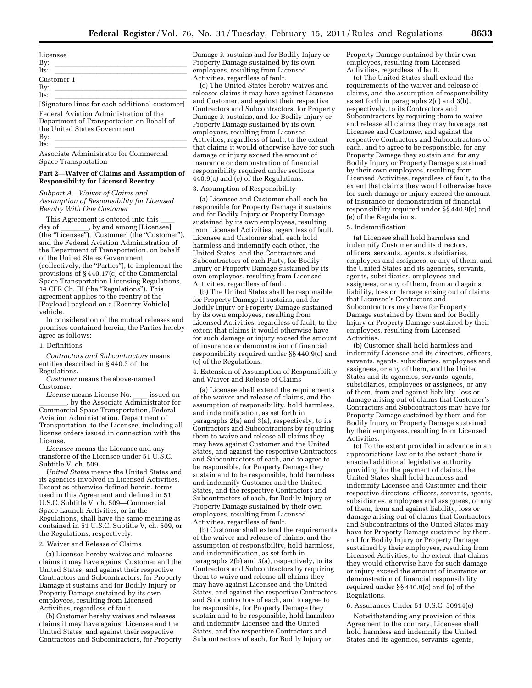| Licensee                                       |
|------------------------------------------------|
| By:<br>Its:                                    |
|                                                |
| Customer 1                                     |
| By:<br>Its:                                    |
|                                                |
| [Signature lines for each additional customer] |
| miliare altre en                               |

Federal Aviation Administration of the Department of Transportation on Behalf of the United States Government By:  $\frac{1}{\text{Its}}$ 

Its:<br>Associate Administrator for Commercial Space Transportation

### **Part 2—Waiver of Claims and Assumption of Responsibility for Licensed Reentry**

### *Subpart A—Waiver of Claims and Assumption of Responsibility for Licensed Reentry With One Customer*

This Agreement is entered into this day of , by and among [Licensee] day of \_\_\_\_\_\_\_\_, by and among [Licensee]<br>(the "Licensee"), [Customer] (the "Customer"), and the Federal Aviation Administration of the Department of Transportation, on behalf of the United States Government (collectively, the ''Parties''), to implement the provisions of § 440.17(c) of the Commercial Space Transportation Licensing Regulations, 14 CFR Ch. III (the "Regulations"). This agreement applies to the reentry of the [Payload] payload on a [Reentry Vehicle] vehicle.

In consideration of the mutual releases and promises contained herein, the Parties hereby agree as follows:

#### 1. Definitions

*Contractors and Subcontractors* means entities described in § 440.3 of the Regulations.

*Customer* means the above-named Customer.<br>License means License No.

*e* means License No. \_\_\_\_ issued on<br>, by the Associate Administrator for llll, by the Associate Administrator for Commercial Space Transportation, Federal Aviation Administration, Department of Transportation, to the Licensee, including all license orders issued in connection with the License.

*Licensee* means the Licensee and any transferee of the Licensee under 51 U.S.C. Subtitle V, ch. 509.

*United States* means the United States and its agencies involved in Licensed Activities. Except as otherwise defined herein, terms used in this Agreement and defined in 51 U.S.C. Subtitle V, ch. 509—Commercial Space Launch Activities, or in the Regulations, shall have the same meaning as contained in 51 U.S.C. Subtitle V, ch. 509, or the Regulations, respectively.

## 2. Waiver and Release of Claims

(a) Licensee hereby waives and releases claims it may have against Customer and the United States, and against their respective Contractors and Subcontractors, for Property Damage it sustains and for Bodily Injury or Property Damage sustained by its own employees, resulting from Licensed Activities, regardless of fault.

(b) Customer hereby waives and releases claims it may have against Licensee and the United States, and against their respective Contractors and Subcontractors, for Property Damage it sustains and for Bodily Injury or Property Damage sustained by its own employees, resulting from Licensed Activities, regardless of fault.

(c) The United States hereby waives and releases claims it may have against Licensee and Customer, and against their respective Contractors and Subcontractors, for Property Damage it sustains, and for Bodily Injury or Property Damage sustained by its own employees, resulting from Licensed Activities, regardless of fault, to the extent that claims it would otherwise have for such damage or injury exceed the amount of insurance or demonstration of financial responsibility required under sections 440.9(c) and (e) of the Regulations.

#### 3. Assumption of Responsibility

(a) Licensee and Customer shall each be responsible for Property Damage it sustains and for Bodily Injury or Property Damage sustained by its own employees, resulting from Licensed Activities, regardless of fault. Licensee and Customer shall each hold harmless and indemnify each other, the United States, and the Contractors and Subcontractors of each Party, for Bodily Injury or Property Damage sustained by its own employees, resulting from Licensed Activities, regardless of fault.

(b) The United States shall be responsible for Property Damage it sustains, and for Bodily Injury or Property Damage sustained by its own employees, resulting from Licensed Activities, regardless of fault, to the extent that claims it would otherwise have for such damage or injury exceed the amount of insurance or demonstration of financial responsibility required under §§ 440.9(c) and (e) of the Regulations.

4. Extension of Assumption of Responsibility and Waiver and Release of Claims

(a) Licensee shall extend the requirements of the waiver and release of claims, and the assumption of responsibility, hold harmless, and indemnification, as set forth in paragraphs 2(a) and 3(a), respectively, to its Contractors and Subcontractors by requiring them to waive and release all claims they may have against Customer and the United States, and against the respective Contractors and Subcontractors of each, and to agree to be responsible, for Property Damage they sustain and to be responsible, hold harmless and indemnify Customer and the United States, and the respective Contractors and Subcontractors of each, for Bodily Injury or Property Damage sustained by their own employees, resulting from Licensed Activities, regardless of fault.

(b) Customer shall extend the requirements of the waiver and release of claims, and the assumption of responsibility, hold harmless, and indemnification, as set forth in paragraphs 2(b) and 3(a), respectively, to its Contractors and Subcontractors by requiring them to waive and release all claims they may have against Licensee and the United States, and against the respective Contractors and Subcontractors of each, and to agree to be responsible, for Property Damage they sustain and to be responsible, hold harmless and indemnify Licensee and the United States, and the respective Contractors and Subcontractors of each, for Bodily Injury or

Property Damage sustained by their own employees, resulting from Licensed Activities, regardless of fault.

(c) The United States shall extend the requirements of the waiver and release of claims, and the assumption of responsibility as set forth in paragraphs 2(c) and 3(b), respectively, to its Contractors and Subcontractors by requiring them to waive and release all claims they may have against Licensee and Customer, and against the respective Contractors and Subcontractors of each, and to agree to be responsible, for any Property Damage they sustain and for any Bodily Injury or Property Damage sustained by their own employees, resulting from Licensed Activities, regardless of fault, to the extent that claims they would otherwise have for such damage or injury exceed the amount of insurance or demonstration of financial responsibility required under §§ 440.9(c) and (e) of the Regulations.

5. Indemnification

(a) Licensee shall hold harmless and indemnify Customer and its directors, officers, servants, agents, subsidiaries, employees and assignees, or any of them, and the United States and its agencies, servants, agents, subsidiaries, employees and assignees, or any of them, from and against liability, loss or damage arising out of claims that Licensee's Contractors and Subcontractors may have for Property Damage sustained by them and for Bodily Injury or Property Damage sustained by their employees, resulting from Licensed Activities.

(b) Customer shall hold harmless and indemnify Licensee and its directors, officers, servants, agents, subsidiaries, employees and assignees, or any of them, and the United States and its agencies, servants, agents, subsidiaries, employees or assignees, or any of them, from and against liability, loss or damage arising out of claims that Customer's Contractors and Subcontractors may have for Property Damage sustained by them and for Bodily Injury or Property Damage sustained by their employees, resulting from Licensed Activities.

(c) To the extent provided in advance in an appropriations law or to the extent there is enacted additional legislative authority providing for the payment of claims, the United States shall hold harmless and indemnify Licensee and Customer and their respective directors, officers, servants, agents, subsidiaries, employees and assignees, or any of them, from and against liability, loss or damage arising out of claims that Contractors and Subcontractors of the United States may have for Property Damage sustained by them, and for Bodily Injury or Property Damage sustained by their employees, resulting from Licensed Activities, to the extent that claims they would otherwise have for such damage or injury exceed the amount of insurance or demonstration of financial responsibility required under §§ 440.9(c) and (e) of the Regulations.

#### 6. Assurances Under 51 U.S.C. 50914(e)

Notwithstanding any provision of this Agreement to the contrary, Licensee shall hold harmless and indemnify the United States and its agencies, servants, agents,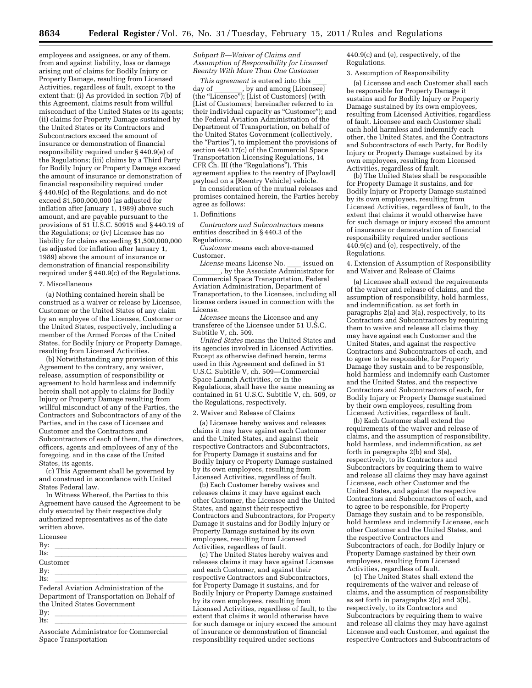employees and assignees, or any of them, from and against liability, loss or damage arising out of claims for Bodily Injury or Property Damage, resulting from Licensed Activities, regardless of fault, except to the extent that: (i) As provided in section 7(b) of this Agreement, claims result from willful misconduct of the United States or its agents; (ii) claims for Property Damage sustained by the United States or its Contractors and Subcontractors exceed the amount of insurance or demonstration of financial responsibility required under § 440.9(e) of the Regulations; (iii) claims by a Third Party for Bodily Injury or Property Damage exceed the amount of insurance or demonstration of financial responsibility required under § 440.9(c) of the Regulations, and do not exceed \$1,500,000,000 (as adjusted for inflation after January 1, 1989) above such amount, and are payable pursuant to the provisions of 51 U.S.C. 50915 and § 440.19 of the Regulations; or (iv) Licensee has no liability for claims exceeding \$1,500,000,000 (as adjusted for inflation after January 1, 1989) above the amount of insurance or demonstration of financial responsibility required under § 440.9(c) of the Regulations.

### 7. Miscellaneous

(a) Nothing contained herein shall be construed as a waiver or release by Licensee, Customer or the United States of any claim by an employee of the Licensee, Customer or the United States, respectively, including a member of the Armed Forces of the United States, for Bodily Injury or Property Damage, resulting from Licensed Activities.

(b) Notwithstanding any provision of this Agreement to the contrary, any waiver, release, assumption of responsibility or agreement to hold harmless and indemnify herein shall not apply to claims for Bodily Injury or Property Damage resulting from willful misconduct of any of the Parties, the Contractors and Subcontractors of any of the Parties, and in the case of Licensee and Customer and the Contractors and Subcontractors of each of them, the directors, officers, agents and employees of any of the foregoing, and in the case of the United States, its agents.

(c) This Agreement shall be governed by and construed in accordance with United States Federal law.

In Witness Whereof, the Parties to this Agreement have caused the Agreement to be duly executed by their respective duly authorized representatives as of the date written above.

Licensee By:  $\frac{1}{\pi}$ Its:<br>Customan Customer By:  $\frac{1}{\pi}$ Its: lllllllllllllllllll Federal Aviation Administration of the Department of Transportation on Behalf of

the United States Government By:  $\frac{1}{\pi}$ 

Its: lllllllllllllllllll Associate Administrator for Commercial Space Transportation

*Subpart B—Waiver of Claims and Assumption of Responsibility for Licensed Reentry With More Than One Customer* 

This agreement is entered into this day of \_\_\_\_\_\_\_\_, by and among [Licensee]<br>(the "Licensee"); [List of Customers] (with [List of Customers] hereinafter referred to in their individual capacity as ''Customer''); and the Federal Aviation Administration of the Department of Transportation, on behalf of the United States Government (collectively, the "Parties"), to implement the provisions of section 440.17(c) of the Commercial Space Transportation Licensing Regulations, 14 CFR Ch. III (the ''Regulations''). This agreement applies to the reentry of [Payload] payload on a [Reentry Vehicle] vehicle.

In consideration of the mutual releases and promises contained herein, the Parties hereby agree as follows:

## 1. Definitions

*Contractors and Subcontractors* means entities described in § 440.3 of the Regulations.

*Customer* means each above-named Customer.

*License* means License No. lissued on<br>by the Associate Administrator for hy the Associate Administrator for .<br>Commercial Space Transportation, Federal Commercial Space Transportation, Federal Aviation Administration, Department of Transportation, to the Licensee, including all license orders issued in connection with the License.

*Licensee* means the Licensee and any transferee of the Licensee under 51 U.S.C. Subtitle V, ch. 509.

*United States* means the United States and its agencies involved in Licensed Activities. Except as otherwise defined herein, terms used in this Agreement and defined in 51 U.S.C. Subtitle V, ch. 509—Commercial Space Launch Activities, or in the Regulations, shall have the same meaning as contained in 51 U.S.C. Subtitle V, ch. 509, or the Regulations, respectively.

## 2. Waiver and Release of Claims

(a) Licensee hereby waives and releases claims it may have against each Customer and the United States, and against their respective Contractors and Subcontractors, for Property Damage it sustains and for Bodily Injury or Property Damage sustained by its own employees, resulting from Licensed Activities, regardless of fault.

(b) Each Customer hereby waives and releases claims it may have against each other Customer, the Licensee and the United States, and against their respective Contractors and Subcontractors, for Property Damage it sustains and for Bodily Injury or Property Damage sustained by its own employees, resulting from Licensed Activities, regardless of fault.

(c) The United States hereby waives and releases claims it may have against Licensee and each Customer, and against their respective Contractors and Subcontractors, for Property Damage it sustains, and for Bodily Injury or Property Damage sustained by its own employees, resulting from Licensed Activities, regardless of fault, to the extent that claims it would otherwise have for such damage or injury exceed the amount of insurance or demonstration of financial responsibility required under sections

440.9(c) and (e), respectively, of the Regulations.

3. Assumption of Responsibility

(a) Licensee and each Customer shall each be responsible for Property Damage it sustains and for Bodily Injury or Property Damage sustained by its own employees, resulting from Licensed Activities, regardless of fault. Licensee and each Customer shall each hold harmless and indemnify each other, the United States, and the Contractors and Subcontractors of each Party, for Bodily Injury or Property Damage sustained by its own employees, resulting from Licensed Activities, regardless of fault.

(b) The United States shall be responsible for Property Damage it sustains, and for Bodily Injury or Property Damage sustained by its own employees, resulting from Licensed Activities, regardless of fault, to the extent that claims it would otherwise have for such damage or injury exceed the amount of insurance or demonstration of financial responsibility required under sections 440.9(c) and (e), respectively, of the Regulations.

4. Extension of Assumption of Responsibility and Waiver and Release of Claims

(a) Licensee shall extend the requirements of the waiver and release of claims, and the assumption of responsibility, hold harmless, and indemnification, as set forth in paragraphs 2(a) and 3(a), respectively, to its Contractors and Subcontractors by requiring them to waive and release all claims they may have against each Customer and the United States, and against the respective Contractors and Subcontractors of each, and to agree to be responsible, for Property Damage they sustain and to be responsible, hold harmless and indemnify each Customer and the United States, and the respective Contractors and Subcontractors of each, for Bodily Injury or Property Damage sustained by their own employees, resulting from Licensed Activities, regardless of fault.

(b) Each Customer shall extend the requirements of the waiver and release of claims, and the assumption of responsibility, hold harmless, and indemnification, as set forth in paragraphs 2(b) and 3(a), respectively, to its Contractors and Subcontractors by requiring them to waive and release all claims they may have against Licensee, each other Customer and the United States, and against the respective Contractors and Subcontractors of each, and to agree to be responsible, for Property Damage they sustain and to be responsible, hold harmless and indemnify Licensee, each other Customer and the United States, and the respective Contractors and Subcontractors of each, for Bodily Injury or Property Damage sustained by their own employees, resulting from Licensed Activities, regardless of fault.

(c) The United States shall extend the requirements of the waiver and release of claims, and the assumption of responsibility as set forth in paragraphs 2(c) and 3(b), respectively, to its Contractors and Subcontractors by requiring them to waive and release all claims they may have against Licensee and each Customer, and against the respective Contractors and Subcontractors of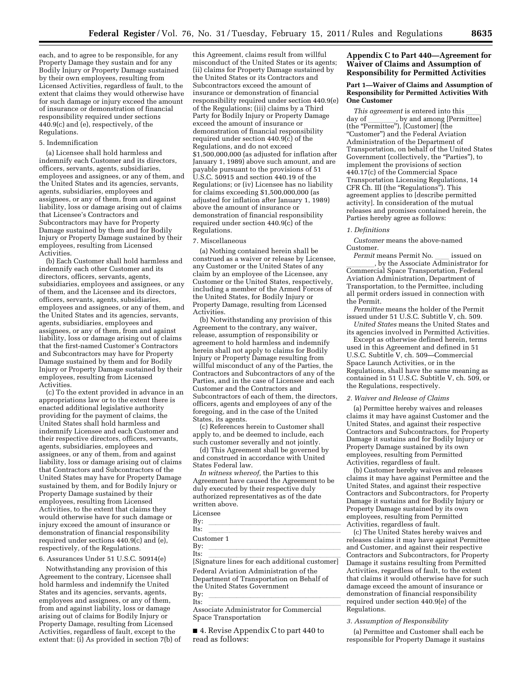each, and to agree to be responsible, for any Property Damage they sustain and for any Bodily Injury or Property Damage sustained by their own employees, resulting from Licensed Activities, regardless of fault, to the extent that claims they would otherwise have for such damage or injury exceed the amount of insurance or demonstration of financial responsibility required under sections 440.9(c) and (e), respectively, of the Regulations.

### 5. Indemnification

(a) Licensee shall hold harmless and indemnify each Customer and its directors, officers, servants, agents, subsidiaries, employees and assignees, or any of them, and the United States and its agencies, servants, agents, subsidiaries, employees and assignees, or any of them, from and against liability, loss or damage arising out of claims that Licensee's Contractors and Subcontractors may have for Property Damage sustained by them and for Bodily Injury or Property Damage sustained by their employees, resulting from Licensed Activities.

(b) Each Customer shall hold harmless and indemnify each other Customer and its directors, officers, servants, agents, subsidiaries, employees and assignees, or any of them, and the Licensee and its directors, officers, servants, agents, subsidiaries, employees and assignees, or any of them, and the United States and its agencies, servants, agents, subsidiaries, employees and assignees, or any of them, from and against liability, loss or damage arising out of claims that the first-named Customer's Contractors and Subcontractors may have for Property Damage sustained by them and for Bodily Injury or Property Damage sustained by their employees, resulting from Licensed Activities.

(c) To the extent provided in advance in an appropriations law or to the extent there is enacted additional legislative authority providing for the payment of claims, the United States shall hold harmless and indemnify Licensee and each Customer and their respective directors, officers, servants, agents, subsidiaries, employees and assignees, or any of them, from and against liability, loss or damage arising out of claims that Contractors and Subcontractors of the United States may have for Property Damage sustained by them, and for Bodily Injury or Property Damage sustained by their employees, resulting from Licensed Activities, to the extent that claims they would otherwise have for such damage or injury exceed the amount of insurance or demonstration of financial responsibility required under sections 440.9(c) and (e), respectively, of the Regulations.

## 6. Assurances Under 51 U.S.C. 50914(e)

Notwithstanding any provision of this Agreement to the contrary, Licensee shall hold harmless and indemnify the United States and its agencies, servants, agents, employees and assignees, or any of them, from and against liability, loss or damage arising out of claims for Bodily Injury or Property Damage, resulting from Licensed Activities, regardless of fault, except to the extent that: (i) As provided in section 7(b) of

this Agreement, claims result from willful misconduct of the United States or its agents; (ii) claims for Property Damage sustained by the United States or its Contractors and Subcontractors exceed the amount of insurance or demonstration of financial responsibility required under section 440.9(e) of the Regulations; (iii) claims by a Third Party for Bodily Injury or Property Damage exceed the amount of insurance or demonstration of financial responsibility required under section 440.9(c) of the Regulations, and do not exceed \$1,500,000,000 (as adjusted for inflation after January 1, 1989) above such amount, and are payable pursuant to the provisions of 51 U.S.C. 50915 and section 440.19 of the Regulations; or (iv) Licensee has no liability for claims exceeding \$1,500,000,000 (as adjusted for inflation after January 1, 1989) above the amount of insurance or demonstration of financial responsibility required under section  $440.9(c)$  of the Regulations.

#### 7. Miscellaneous

(a) Nothing contained herein shall be construed as a waiver or release by Licensee, any Customer or the United States of any claim by an employee of the Licensee, any Customer or the United States, respectively, including a member of the Armed Forces of the United States, for Bodily Injury or Property Damage, resulting from Licensed Activities.

(b) Notwithstanding any provision of this Agreement to the contrary, any waiver, release, assumption of responsibility or agreement to hold harmless and indemnify herein shall not apply to claims for Bodily Injury or Property Damage resulting from willful misconduct of any of the Parties, the Contractors and Subcontractors of any of the Parties, and in the case of Licensee and each Customer and the Contractors and Subcontractors of each of them, the directors, officers, agents and employees of any of the foregoing, and in the case of the United States, its agents.

(c) References herein to Customer shall apply to, and be deemed to include, each such customer severally and not jointly.

(d) This Agreement shall be governed by and construed in accordance with United States Federal law.

*In witness whereof,* the Parties to this Agreement have caused the Agreement to be duly executed by their respective duly authorized representatives as of the date written above.

|   | icensee |  |  |  |  |  |  |
|---|---------|--|--|--|--|--|--|
|   |         |  |  |  |  |  |  |
| . |         |  |  |  |  |  |  |

Its:<br>Customer 1

Customer 1<br>By: By:  $\frac{1}{\pi}$ 

Its:<br>[Signature lines for each additional customer] Federal Aviation Administration of the Department of Transportation on Behalf of the United States Government By:  $\frac{\text{By:}}{\text{Its:}}$ 

Its:<br>Associate Administrator for Commercial Space Transportation

■ 4. Revise Appendix C to part 440 to read as follows:

## **Appendix C to Part 440—Agreement for Waiver of Claims and Assumption of Responsibility for Permitted Activities**

### **Part 1—Waiver of Claims and Assumption of Responsibility for Permitted Activities With One Customer**

*This agreement* is entered into this day of , by and among [Permittee] day of \_\_\_\_\_\_\_\_, by and among [Permittee]<br>(the "Permittee"), [Customer] (the ''Customer'') and the Federal Aviation Administration of the Department of Transportation, on behalf of the United States Government (collectively, the "Parties"), to implement the provisions of section 440.17(c) of the Commercial Space Transportation Licensing Regulations, 14 CFR Ch. III (the ''Regulations''). This agreement applies to [describe permitted activity]. In consideration of the mutual releases and promises contained herein, the Parties hereby agree as follows:

### *1. Definitions*

*Customer* means the above-named Customer.

*Permit* means Permit No. lissued on<br>by the Associate Administrator for llll, by the Associate Administrator for Commercial Space Transportation, Federal Aviation Administration, Department of Transportation, to the Permittee, including all permit orders issued in connection with the Permit.

*Permittee* means the holder of the Permit issued under 51 U.S.C. Subtitle V, ch. 509. *United States* means the United States and

its agencies involved in Permitted Activities. Except as otherwise defined herein, terms

used in this Agreement and defined in 51 U.S.C. Subtitle V, ch. 509—Commercial Space Launch Activities, or in the Regulations, shall have the same meaning as contained in 51 U.S.C. Subtitle V, ch. 509, or the Regulations, respectively.

#### *2. Waiver and Release of Claims*

(a) Permittee hereby waives and releases claims it may have against Customer and the United States, and against their respective Contractors and Subcontractors, for Property Damage it sustains and for Bodily Injury or Property Damage sustained by its own employees, resulting from Permitted Activities, regardless of fault.

(b) Customer hereby waives and releases claims it may have against Permittee and the United States, and against their respective Contractors and Subcontractors, for Property Damage it sustains and for Bodily Injury or Property Damage sustained by its own employees, resulting from Permitted Activities, regardless of fault.

(c) The United States hereby waives and releases claims it may have against Permittee and Customer, and against their respective Contractors and Subcontractors, for Property Damage it sustains resulting from Permitted Activities, regardless of fault, to the extent that claims it would otherwise have for such damage exceed the amount of insurance or demonstration of financial responsibility required under section 440.9(e) of the Regulations.

### *3. Assumption of Responsibility*

(a) Permittee and Customer shall each be responsible for Property Damage it sustains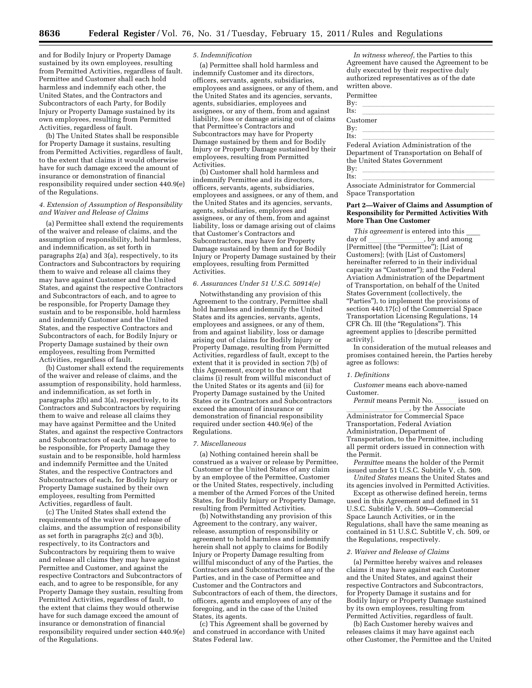**8636 Federal Register** / Vol. 76, No. 31 / Tuesday, February 15, 2011 / Rules and Regulations

and for Bodily Injury or Property Damage sustained by its own employees, resulting from Permitted Activities, regardless of fault. Permittee and Customer shall each hold harmless and indemnify each other, the United States, and the Contractors and Subcontractors of each Party, for Bodily Injury or Property Damage sustained by its own employees, resulting from Permitted Activities, regardless of fault.

(b) The United States shall be responsible for Property Damage it sustains, resulting from Permitted Activities, regardless of fault, to the extent that claims it would otherwise have for such damage exceed the amount of insurance or demonstration of financial responsibility required under section 440.9(e) of the Regulations.

## *4. Extension of Assumption of Responsibility and Waiver and Release of Claims*

(a) Permittee shall extend the requirements of the waiver and release of claims, and the assumption of responsibility, hold harmless, and indemnification, as set forth in paragraphs 2(a) and 3(a), respectively, to its Contractors and Subcontractors by requiring them to waive and release all claims they may have against Customer and the United States, and against the respective Contractors and Subcontractors of each, and to agree to be responsible, for Property Damage they sustain and to be responsible, hold harmless and indemnify Customer and the United States, and the respective Contractors and Subcontractors of each, for Bodily Injury or Property Damage sustained by their own employees, resulting from Permitted Activities, regardless of fault.

(b) Customer shall extend the requirements of the waiver and release of claims, and the assumption of responsibility, hold harmless, and indemnification, as set forth in paragraphs 2(b) and 3(a), respectively, to its Contractors and Subcontractors by requiring them to waive and release all claims they may have against Permittee and the United States, and against the respective Contractors and Subcontractors of each, and to agree to be responsible, for Property Damage they sustain and to be responsible, hold harmless and indemnify Permittee and the United States, and the respective Contractors and Subcontractors of each, for Bodily Injury or Property Damage sustained by their own employees, resulting from Permitted Activities, regardless of fault.

(c) The United States shall extend the requirements of the waiver and release of claims, and the assumption of responsibility as set forth in paragraphs 2(c) and 3(b), respectively, to its Contractors and Subcontractors by requiring them to waive and release all claims they may have against Permittee and Customer, and against the respective Contractors and Subcontractors of each, and to agree to be responsible, for any Property Damage they sustain, resulting from Permitted Activities, regardless of fault, to the extent that claims they would otherwise have for such damage exceed the amount of insurance or demonstration of financial responsibility required under section 440.9(e) of the Regulations.

#### *5. Indemnification*

(a) Permittee shall hold harmless and indemnify Customer and its directors, officers, servants, agents, subsidiaries, employees and assignees, or any of them, and the United States and its agencies, servants, agents, subsidiaries, employees and assignees, or any of them, from and against liability, loss or damage arising out of claims that Permittee's Contractors and Subcontractors may have for Property Damage sustained by them and for Bodily Injury or Property Damage sustained by their employees, resulting from Permitted Activities.

(b) Customer shall hold harmless and indemnify Permittee and its directors, officers, servants, agents, subsidiaries, employees and assignees, or any of them, and the United States and its agencies, servants, agents, subsidiaries, employees and assignees, or any of them, from and against liability, loss or damage arising out of claims that Customer's Contractors and Subcontractors, may have for Property Damage sustained by them and for Bodily Injury or Property Damage sustained by their employees, resulting from Permitted Activities.

### *6. Assurances Under 51 U.S.C. 50914(e)*

Notwithstanding any provision of this Agreement to the contrary, Permittee shall hold harmless and indemnify the United States and its agencies, servants, agents, employees and assignees, or any of them, from and against liability, loss or damage arising out of claims for Bodily Injury or Property Damage, resulting from Permitted Activities, regardless of fault, except to the extent that it is provided in section 7(b) of this Agreement, except to the extent that claims (i) result from willful misconduct of the United States or its agents and (ii) for Property Damage sustained by the United States or its Contractors and Subcontractors exceed the amount of insurance or demonstration of financial responsibility required under section 440.9(e) of the Regulations.

#### *7. Miscellaneous*

(a) Nothing contained herein shall be construed as a waiver or release by Permittee, Customer or the United States of any claim by an employee of the Permittee, Customer or the United States, respectively, including a member of the Armed Forces of the United States, for Bodily Injury or Property Damage, resulting from Permitted Activities.

(b) Notwithstanding any provision of this Agreement to the contrary, any waiver, release, assumption of responsibility or agreement to hold harmless and indemnify herein shall not apply to claims for Bodily Injury or Property Damage resulting from willful misconduct of any of the Parties, the Contractors and Subcontractors of any of the Parties, and in the case of Permittee and Customer and the Contractors and Subcontractors of each of them, the directors, officers, agents and employees of any of the foregoing, and in the case of the United States, its agents.

(c) This Agreement shall be governed by and construed in accordance with United States Federal law.

*In witness whereof,* the Parties to this Agreement have caused the Agreement to be duly executed by their respective duly authorized representatives as of the date written above.

Permittee

| By:                                       |  |
|-------------------------------------------|--|
| Its:                                      |  |
| Customer                                  |  |
| $\mathbf{B}\mathbf{v}$ :                  |  |
| Its:                                      |  |
| Federal Aviation Administration of the    |  |
| Department of Transportation on Behalf of |  |
| the United States Government              |  |
|                                           |  |

By:  $\frac{1}{\text{Hs}}$ 

Its:<br>Associate Administrator for Commercial Space Transportation

### **Part 2—Waiver of Claims and Assumption of Responsibility for Permitted Activities With More Than One Customer**

*This agreement* is entered into this day of \_\_\_\_\_\_\_\_\_\_\_\_\_\_\_, by and among<br>[Permittee] (the "Permittee"); [List of Customers]; (with [List of Customers] hereinafter referred to in their individual capacity as ''Customer''); and the Federal Aviation Administration of the Department of Transportation, on behalf of the United States Government (collectively, the "Parties"), to implement the provisions of section 440.17(c) of the Commercial Space Transportation Licensing Regulations, 14 CFR Ch. III (the ''Regulations''). This agreement applies to [describe permitted activity].

In consideration of the mutual releases and promises contained herein, the Parties hereby agree as follows:

#### *1. Definitions*

*Customer* means each above-named Customer.

*Permit* means Permit No. issued on<br>by the Associate

hy the Associate , by the Associate<br>Administrator for Commercial Space Transportation, Federal Aviation Administration, Department of Transportation, to the Permittee, including all permit orders issued in connection with the Permit.

*Permittee* means the holder of the Permit issued under 51 U.S.C. Subtitle V, ch. 509.

*United States* means the United States and its agencies involved in Permitted Activities.

Except as otherwise defined herein, terms used in this Agreement and defined in 51 U.S.C. Subtitle V, ch. 509—Commercial Space Launch Activities, or in the Regulations, shall have the same meaning as contained in 51 U.S.C. Subtitle V, ch. 509, or the Regulations, respectively.

#### *2. Waiver and Release of Claims*

(a) Permittee hereby waives and releases claims it may have against each Customer and the United States, and against their respective Contractors and Subcontractors, for Property Damage it sustains and for Bodily Injury or Property Damage sustained by its own employees, resulting from Permitted Activities, regardless of fault.

(b) Each Customer hereby waives and releases claims it may have against each other Customer, the Permittee and the United